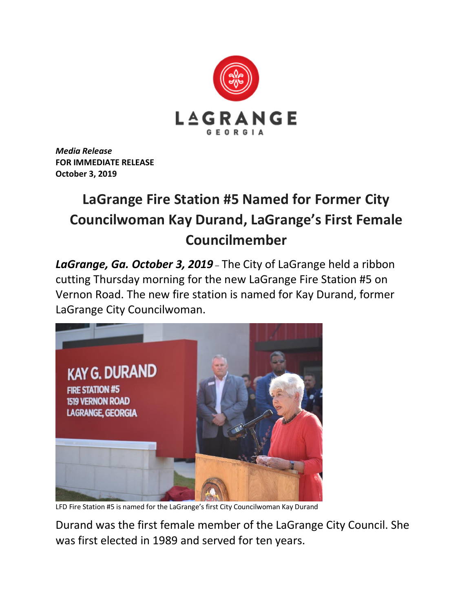

*Media Release* **FOR IMMEDIATE RELEASE October 3, 2019**

## **LaGrange Fire Station #5 Named for Former City Councilwoman Kay Durand, LaGrange's First Female Councilmember**

*LaGrange, Ga. October 3, 2019* – The City of LaGrange held a ribbon cutting Thursday morning for the new LaGrange Fire Station #5 on Vernon Road. The new fire station is named for Kay Durand, former LaGrange City Councilwoman.



LFD Fire Station #5 is named for the LaGrange's first City Councilwoman Kay Durand

Durand was the first female member of the LaGrange City Council. She was first elected in 1989 and served for ten years.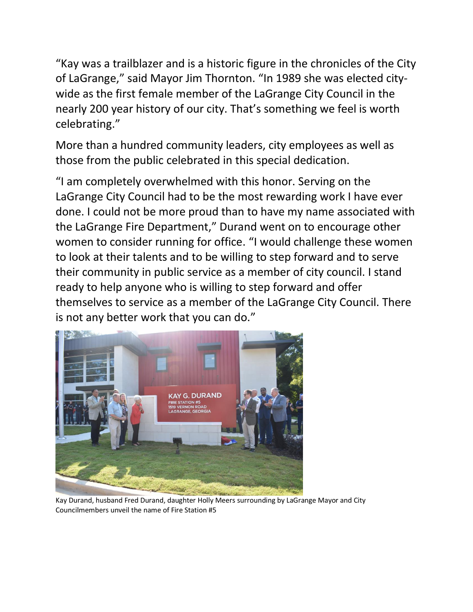"Kay was a trailblazer and is a historic figure in the chronicles of the City of LaGrange," said Mayor Jim Thornton. "In 1989 she was elected citywide as the first female member of the LaGrange City Council in the nearly 200 year history of our city. That's something we feel is worth celebrating."

More than a hundred community leaders, city employees as well as those from the public celebrated in this special dedication.

"I am completely overwhelmed with this honor. Serving on the LaGrange City Council had to be the most rewarding work I have ever done. I could not be more proud than to have my name associated with the LaGrange Fire Department," Durand went on to encourage other women to consider running for office. "I would challenge these women to look at their talents and to be willing to step forward and to serve their community in public service as a member of city council. I stand ready to help anyone who is willing to step forward and offer themselves to service as a member of the LaGrange City Council. There is not any better work that you can do."



Kay Durand, husband Fred Durand, daughter Holly Meers surrounding by LaGrange Mayor and City Councilmembers unveil the name of Fire Station #5